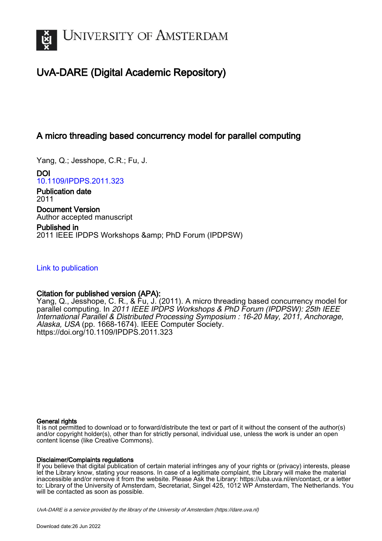

# UvA-DARE (Digital Academic Repository)

## A micro threading based concurrency model for parallel computing

Yang, Q.; Jesshope, C.R.; Fu, J.

DOI [10.1109/IPDPS.2011.323](https://doi.org/10.1109/IPDPS.2011.323)

Publication date 2011 Document Version Author accepted manuscript

Published in 2011 IEEE IPDPS Workshops & amp; PhD Forum (IPDPSW)

[Link to publication](https://dare.uva.nl/personal/pure/en/publications/a-micro-threading-based-concurrency-model-for-parallel-computing(56c61d32-f861-410c-86e9-3dc507bd58cd).html)

### Citation for published version (APA):

Yang, Q., Jesshope, C. R., & Fu, J. (2011). A micro threading based concurrency model for parallel computing. In 2011 IEEE IPDPS Workshops & PhD Forum (IPDPSW): 25th IEEE International Parallel & Distributed Processing Symposium : 16-20 May, 2011, Anchorage, Alaska, USA (pp. 1668-1674). IEEE Computer Society. <https://doi.org/10.1109/IPDPS.2011.323>

#### General rights

It is not permitted to download or to forward/distribute the text or part of it without the consent of the author(s) and/or copyright holder(s), other than for strictly personal, individual use, unless the work is under an open content license (like Creative Commons).

#### Disclaimer/Complaints regulations

If you believe that digital publication of certain material infringes any of your rights or (privacy) interests, please let the Library know, stating your reasons. In case of a legitimate complaint, the Library will make the material inaccessible and/or remove it from the website. Please Ask the Library: https://uba.uva.nl/en/contact, or a letter to: Library of the University of Amsterdam, Secretariat, Singel 425, 1012 WP Amsterdam, The Netherlands. You will be contacted as soon as possible.

UvA-DARE is a service provided by the library of the University of Amsterdam (http*s*://dare.uva.nl)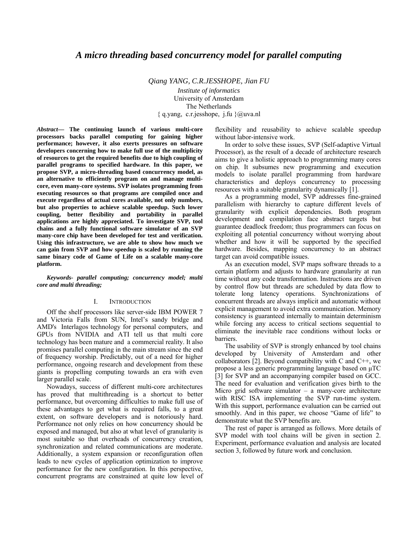*Qiang YANG, C.R.JESSHOPE, Jian FU*

*Institute of informatics* University of Amsterdam The Netherlands { q.yang, c.r.jesshope, j.fu }@uva.nl

*Abstract***— The continuing launch of various multi-core processors backs parallel computing for gaining higher performance; however, it also exerts pressures on software developers concerning how to make full use of the multiplicity of resources to get the required benefits due to high coupling of parallel programs to specified hardware. In this paper, we propose SVP, a micro-threading based concurrency model, as an alternative to efficiently program on and manage multicore, even many-core systems. SVP isolates programming from executing resources so that programs are compiled once and execute regardless of actual cores available, not only numbers, but also properties to achieve scalable speedup. Such lower coupling, better flexibility and portability in parallel applications are highly appreciated. To investigate SVP, tool chains and a fully functional software simulator of an SVP many-core chip have been developed for test and verification. Using this infrastructure, we are able to show how much we can gain from SVP and how speedup is scaled by running the same binary code of Game of Life on a scalable many-core platform.** 

*Keywords- parallel computing; concurrency model; multi core and multi threading;* 

#### I. INTRODUCTION

Off the shelf processors like server-side IBM POWER 7 and Victoria Falls from SUN, Intel's sandy bridge and AMD's Interlagos technology for personal computers, and GPUs from NVIDIA and ATI tell us that multi core technology has been mature and a commercial reality. It also promises parallel computing in the main stream since the end of frequency worship. Predictably, out of a need for higher performance, ongoing research and development from these giants is propelling computing towards an era with even larger parallel scale.

Nowadays, success of different multi-core architectures has proved that multithreading is a shortcut to better performance, but overcoming difficulties to make full use of these advantages to get what is required falls, to a great extent, on software developers and is notoriously hard. Performance not only relies on how concurrency should be exposed and managed, but also at what level of granularity is most suitable so that overheads of concurrency creation, synchronization and related communications are moderate. Additionally, a system expansion or reconfiguration often leads to new cycles of application optimization to improve performance for the new configuration. In this perspective, concurrent programs are constrained at quite low level of

flexibility and reusability to achieve scalable speedup without labor-intensive work.

In order to solve these issues, SVP (Self-adaptive Virtual Processor), as the result of a decade of architecture research aims to give a holistic approach to programming many cores on chip. It subsumes new programming and execution models to isolate parallel programming from hardware characteristics and deploys concurrency to processing resources with a suitable granularity dynamically [1].

As a programming model, SVP addresses fine-grained parallelism with hierarchy to capture different levels of granularity with explicit dependencies. Both program development and compilation face abstract targets but guarantee deadlock freedom; thus programmers can focus on exploiting all potential concurrency without worrying about whether and how it will be supported by the specified hardware. Besides, mapping concurrency to an abstract target can avoid compatible issues.

As an execution model, SVP maps software threads to a certain platform and adjusts to hardware granularity at run time without any code transformation. Instructions are driven by control flow but threads are scheduled by data flow to tolerate long latency operations. Synchronizations of concurrent threads are always implicit and automatic without explicit management to avoid extra communication. Memory consistency is guaranteed internally to maintain determinism while forcing any access to critical sections sequential to eliminate the inevitable race conditions without locks or barriers.

The usability of SVP is strongly enhanced by tool chains developed by University of Amsterdam and other collaborators [2]. Beyond compatibility with C and  $C_{++}$ , we propose a less generic programming language based on μTC [3] for SVP and an accompanying compiler based on GCC. The need for evaluation and verification gives birth to the Micro grid software simulator – a many-core architecture with RISC ISA implementing the SVP run-time system. With this support, performance evaluation can be carried out smoothly. And in this paper, we choose "Game of life" to demonstrate what the SVP benefits are.

The rest of paper is arranged as follows. More details of SVP model with tool chains will be given in section 2. Experiment, performance evaluation and analysis are located section 3, followed by future work and conclusion.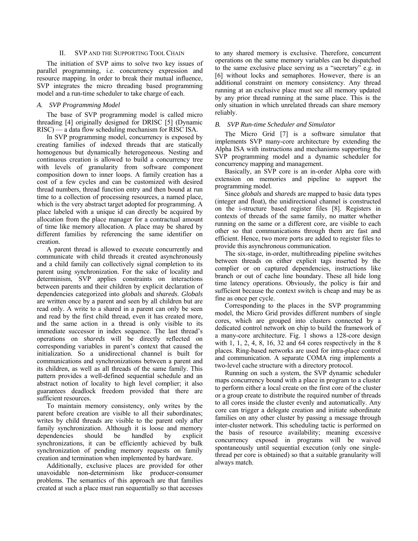#### II. SVP AND THE SUPPORTING TOOL CHAIN

The initiation of SVP aims to solve two key issues of parallel programming, i.e. concurrency expression and resource mapping. In order to break their mutual influence, SVP integrates the micro threading based programming model and a run-time scheduler to take charge of each.

#### *A. SVP Programming Model*

The base of SVP programming model is called micro threading [4] originally designed for DRISC [5] (Dynamic RISC) — a data flow scheduling mechanism for RISC ISA.

In SVP programming model, concurrency is exposed by creating families of indexed threads that are statically homogenous but dynamically heterogeneous. Nesting and continuous creation is allowed to build a concurrency tree with levels of granularity from software component composition down to inner loops. A family creation has a cost of a few cycles and can be customized with desired thread numbers, thread function entry and then bound at run time to a collection of processing resources, a named place, which is the very abstract target adopted for programming. A place labeled with a unique id can directly be acquired by allocation from the place manager for a contractual amount of time like memory allocation. A place may be shared by different families by referencing the same identifier on creation.

A parent thread is allowed to execute concurrently and communicate with child threads it created asynchronously and a child family can collectively signal completion to its parent using synchronization. For the sake of locality and determinism, SVP applies constraints on interactions between parents and their children by explicit declaration of dependencies categorized into *globals* and *shareds*. *Globals* are written once by a parent and seen by all children but are read only. A write to a shared in a parent can only be seen and read by the first child thread, even it has created more, and the same action in a thread is only visible to its immediate successor in index sequence. The last thread's operations on *shareds* will be directly reflected on corresponding variables in parent's context that caused the initialization. So a unidirectional channel is built for communications and synchronizations between a parent and its children, as well as all threads of the same family. This pattern provides a well-defined sequential schedule and an abstract notion of locality to high level complier; it also guarantees deadlock freedom provided that there are sufficient resources.

To maintain memory consistency, only writes by the parent before creation are visible to all their subordinates; writes by child threads are visible to the parent only after family synchronization. Although it is loose and memory dependencies should be handled by explicit synchronizations, it can be efficiently achieved by bulk synchronization of pending memory requests on family creation and termination when implemented by hardware.

Additionally, exclusive places are provided for other unavoidable non-determinism like producer-consumer problems. The semantics of this approach are that families created at such a place must run sequentially so that accesses

to any shared memory is exclusive. Therefore, concurrent operations on the same memory variables can be dispatched to the same exclusive place serving as a "secretary" e.g. in [6] without locks and semaphores. However, there is an additional constraint on memory consistency. Any thread running at an exclusive place must see all memory updated by any prior thread running at the same place. This is the only situation in which unrelated threads can share memory reliably.

#### *B. SVP Run-time Scheduler and Simulator*

The Micro Grid [7] is a software simulator that implements SVP many-core architecture by extending the Alpha ISA with instructions and mechanisms supporting the SVP programming model and a dynamic scheduler for concurrency mapping and management.

Basically, an SVP core is an in-order Alpha core with extension on memories and pipeline to support the programming model.

Since *globals* and *shareds* are mapped to basic data types (integer and float), the unidirectional channel is constructed on the i-structure based register files [8]. Registers in contexts of threads of the same family, no matter whether running on the same or a different core, are visible to each other so that communications through them are fast and efficient. Hence, two more ports are added to register files to provide this asynchronous communication.

The six-stage, in-order, multithreading pipeline switches between threads on either explicit tags inserted by the complier or on captured dependencies, instructions like branch or out of cache line boundary. These all hide long time latency operations. Obviously, the policy is fair and sufficient because the context switch is cheap and may be as fine as once per cycle.

Corresponding to the places in the SVP programming model, the Micro Grid provides different numbers of single cores, which are grouped into clusters connected by a dedicated control network on chip to build the framework of a many-core architecture. Fig. 1 shows a 128-core design with 1, 1, 2, 4, 8, 16, 32 and 64 cores respectively in the 8 places. Ring-based networks are used for intra-place control and communication. A separate COMA ring implements a two-level cache structure with a directory protocol.

Running on such a system, the SVP dynamic scheduler maps concurrency bound with a place in program to a cluster to perform either a local create on the first core of the cluster or a group create to distribute the required number of threads to all cores inside the cluster evenly and automatically. Any core can trigger a delegate creation and initiate subordinate families on any other cluster by passing a message through inter-cluster network. This scheduling tactic is performed on the basis of resource availability; meaning excessive concurrency exposed in programs will be waived spontaneously until sequential execution (only one singlethread per core is obtained) so that a suitable granularity will always match.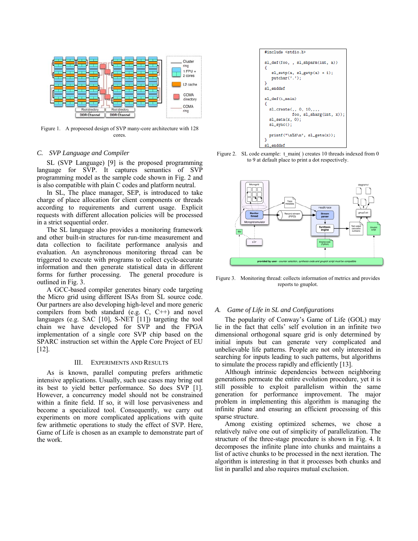

Figure 1. A propoesed design of SVP many-core architecture with 128 cores.

#### *C. SVP Language and Compiler*

SL (SVP Language) [9] is the proposed programming language for SVP. It captures semantics of SVP programming model as the sample code shown in Fig. 2 and is also compatible with plain C codes and platform neutral.

In SL, The place manager, SEP, is introduced to take charge of place allocation for client components or threads according to requirements and current usage. Explicit requests with different allocation policies will be processed in a strict sequential order.

The SL language also provides a monitoring framework and other built-in structures for run-time measurement and data collection to facilitate performance analysis and evaluation. An asynchronous monitoring thread can be triggered to execute with programs to collect cycle-accurate information and then generate statistical data in different forms for further processing. The general procedure is outlined in Fig. 3.

A GCC-based compiler generates binary code targeting the Micro grid using different ISAs from SL source code. Our partners are also developing high-level and more generic compilers from both standard (e.g. C, C++) and novel languages (e.g. SAC [10], S-NET [11]) targeting the tool chain we have developed for SVP and the FPGA implementation of a single core SVP chip based on the SPARC instruction set within the Apple Core Project of EU [12].

#### III. EXPERIMENTS AND RESULTS

As is known, parallel computing prefers arithmetic intensive applications. Usually, such use cases may bring out its best to yield better performance. So does SVP [1]. However, a concurrency model should not be constrained within a finite field. If so, it will lose pervasiveness and become a specialized tool. Consequently, we carry out experiments on more complicated applications with quite few arithmetic operations to study the effect of SVP. Here, Game of Life is chosen as an example to demonstrate part of the work.



Figure 2. SL code example: t\_main( ) creates 10 threads indexed from 0 to 9 at default place to print a dot respectively.



Figure 3. Monitoring thread: collects information of metrics and provides reports to gnuplot.

#### *A. Game of Life in SL and Configurations*

The popularity of Conway's Game of Life (GOL) may lie in the fact that cells' self evolution in an infinite two dimensional orthogonal square grid is only determined by initial inputs but can generate very complicated and unbelievable life patterns. People are not only interested in searching for inputs leading to such patterns, but algorithms to simulate the process rapidly and efficiently [13].

Although intrinsic dependencies between neighboring generations permeate the entire evolution procedure, yet it is still possible to exploit parallelism within the same generation for performance improvement. The major problem in implementing this algorithm is managing the infinite plane and ensuring an efficient processing of this sparse structure.

Among existing optimized schemes, we chose a relatively naïve one out of simplicity of parallelization. The structure of the three-stage procedure is shown in Fig. 4. It decomposes the infinite plane into chunks and maintains a list of active chunks to be processed in the next iteration. The algorithm is interesting in that it processes both chunks and list in parallel and also requires mutual exclusion.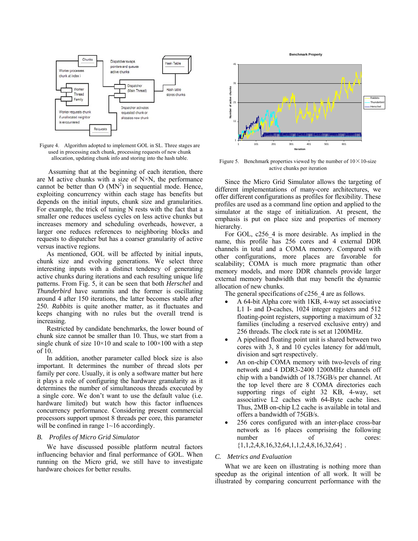

Figure 4. Algorithm adopted to implement GOL in SL. Three stages are used in processing each chunk, processing requests of new chunk allocation, updating chunk info and storing into the hash table.

 Assuming that at the beginning of each iteration, there are M active chunks with a size of  $N \times N$ , the performance cannot be better than  $O(MN^2)$  in sequential mode. Hence, exploiting concurrency within each stage has benefits but depends on the initial inputs, chunk size and granularities. For example, the trick of tuning N rests with the fact that a smaller one reduces useless cycles on less active chunks but increases memory and scheduling overheads, however, a larger one reduces references to neighboring blocks and requests to dispatcher but has a coarser granularity of active versus inactive regions.

As mentioned, GOL will be affected by initial inputs, chunk size and evolving generations. We select three interesting inputs with a distinct tendency of generating active chunks during iterations and each resulting unique life patterns. From Fig. 5, it can be seen that both *Herschel* and *Thunderbird* have summits and the former is oscillating around 4 after 150 iterations, the latter becomes stable after 250. *Rabbits* is quite another matter, as it fluctuates and keeps changing with no rules but the overall trend is increasing.

Restricted by candidate benchmarks, the lower bound of chunk size cannot be smaller than 10. Thus, we start from a single chunk of size  $10\times10$  and scale to  $100\times100$  with a step of 10.

In addition, another parameter called block size is also important. It determines the number of thread slots per family per core. Usually, it is only a software matter but here it plays a role of configuring the hardware granularity as it determines the number of simultaneous threads executed by a single core. We don't want to use the default value (i.e. hardware limited) but watch how this factor influences concurrency performance. Considering present commercial processors support upmost 8 threads per core, this parameter will be confined in range  $1 \sim 16$  accordingly.

#### *B. Profiles of Micro Grid Simulator*

We have discussed possible platform neutral factors influencing behavior and final performance of GOL. When running on the Micro grid, we still have to investigate hardware choices for better results.



Figure 5. Benchmark properties viewed by the number of  $10 \times 10$ -size active chunks per iteration

Since the Micro Grid Simulator allows the targeting of different implementations of many-core architectures, we offer different configurations as profiles for flexibility. These profiles are used as a command line option and applied to the simulator at the stage of initialization. At present, the emphasis is put on place size and properties of memory hierarchy.

For GOL, c256\_4 is more desirable. As implied in the name, this profile has 256 cores and 4 external DDR channels in total and a COMA memory. Compared with other configurations, more places are favorable for scalability; COMA is much more pragmatic than other memory models, and more DDR channels provide larger external memory bandwidth that may benefit the dynamic allocation of new chunks.

The general specifications of c256 4 are as follows.

- A 64-bit Alpha core with 1KB, 4-way set associative L1 I- and D-caches, 1024 integer registers and 512 floating-point registers, supporting a maximum of 32 families (including a reserved exclusive entry) and 256 threads. The clock rate is set at 1200MHz.
- A pipelined floating point unit is shared between two cores with 3, 8 and 10 cycles latency for add/mult, division and sqrt respectively.
- An on-chip COMA memory with two-levels of ring network and 4 DDR3-2400 1200MHz channels off chip with a bandwidth of 18.75GB/s per channel. At the top level there are 8 COMA directories each supporting rings of eight 32 KB, 4-way, set associative L2 caches with 64-Byte cache lines. Thus, 2MB on-chip L2 cache is available in total and offers a bandwidth of 75GB/s.
- 256 cores configured with an inter-place cross-bar network as 16 places comprising the following number of cores:  ${1,1,2,4,8,16,32,64,1,1,2,4,8,16,32,64}$ .

#### *C. Metrics and Evaluation*

What we are keen on illustrating is nothing more than speedup as the original intention of all work. It will be illustrated by comparing concurrent performance with the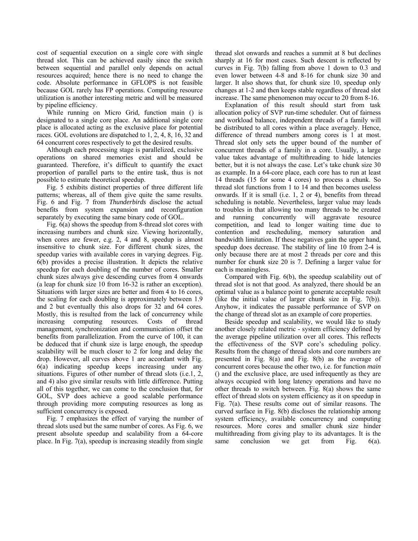cost of sequential execution on a single core with single thread slot. This can be achieved easily since the switch between sequential and parallel only depends on actual resources acquired; hence there is no need to change the code. Absolute performance in GFLOPS is not feasible because GOL rarely has FP operations. Computing resource utilization is another interesting metric and will be measured by pipeline efficiency.

While running on Micro Grid, function main () is designated to a single core place. An additional single core place is allocated acting as the exclusive place for potential races. GOL evolutions are dispatched to 1, 2, 4, 8, 16, 32 and 64 concurrent cores respectively to get the desired results.

Although each processing stage is parallelized, exclusive operations on shared memories exist and should be guaranteed. Therefore, it's difficult to quantify the exact proportion of parallel parts to the entire task, thus is not possible to estimate theoretical speedup.

Fig. 5 exhibits distinct properties of three different life patterns; whereas, all of them give quite the same results. Fig. 6 and Fig. 7 from *Thunderbirds* disclose the actual benefits from system expansion and reconfiguration separately by executing the same binary code of GOL.

Fig. 6(a) shows the speedup from 8-thread slot cores with increasing numbers and chunk size. Viewing horizontally, when cores are fewer, e.g. 2, 4 and 8, speedup is almost insensitive to chunk size. For different chunk sizes, the speedup varies with available cores in varying degrees. Fig. 6(b) provides a precise illustration. It depicts the relative speedup for each doubling of the number of cores. Smaller chunk sizes always give descending curves from 4 onwards (a leap for chunk size 10 from 16-32 is rather an exception). Situations with larger sizes are better and from 4 to 16 cores, the scaling for each doubling is approximately between 1.9 and 2 but eventually this also drops for 32 and 64 cores. Mostly, this is resulted from the lack of concurrency while increasing computing resources. Costs of thread management, synchronization and communication offset the benefits from parallelization. From the curve of 100, it can be deduced that if chunk size is large enough, the speedup scalability will be much closer to 2 for long and delay the drop. However, all curves above 1 are accordant with Fig. 6(a) indicating speedup keeps increasing under any situations. Figures of other number of thread slots (i.e.1, 2, and 4) also give similar results with little difference. Putting all of this together, we can come to the conclusion that, for GOL, SVP does achieve a good scalable performance through providing more computing resources as long as sufficient concurrency is exposed.

Fig. 7 emphasizes the effect of varying the number of thread slots used but the same number of cores. As Fig. 6, we present absolute speedup and scalability from a 64-core place. In Fig. 7(a), speedup is increasing steadily from single

thread slot onwards and reaches a summit at 8 but declines sharply at 16 for most cases. Such descent is reflected by curves in Fig. 7(b) falling from above 1 down to 0.3 and even lower between 4-8 and 8-16 for chunk size 30 and larger. It also shows that, for chunk size 10, speedup only changes at 1-2 and then keeps stable regardless of thread slot increase. The same phenomenon may occur to 20 from 8-16.

Explanation of this result should start from task allocation policy of SVP run-time scheduler. Out of fairness and workload balance, independent threads of a family will be distributed to all cores within a place averagely. Hence, difference of thread numbers among cores is 1 at most. Thread slot only sets the upper bound of the number of concurrent threads of a family in a core. Usually, a large value takes advantage of multithreading to hide latencies better, but it is not always the case. Let's take chunk size 30 as example. In a 64-core place, each core has to run at least 14 threads (15 for some 4 cores) to process a chunk. So thread slot functions from 1 to 14 and then becomes useless onwards. If it is small (i.e. 1, 2 or 4), benefits from thread scheduling is notable. Nevertheless, larger value may leads to troubles in that allowing too many threads to be created and running concurrently will aggravate resource competition, and lead to longer waiting time due to contention and rescheduling, memory saturation and bandwidth limitation. If these negatives gain the upper hand, speedup does decrease. The stability of line 10 from 2-4 is only because there are at most 2 threads per core and this number for chunk size 20 is 7. Defining a larger value for each is meaningless.

Compared with Fig. 6(b), the speedup scalability out of thread slot is not that good. As analyzed, there should be an optimal value as a balance point to generate acceptable result (like the initial value of larger chunk size in Fig. 7(b)). Anyhow, it indicates the passable performance of SVP on the change of thread slot as an example of core properties.

Beside speedup and scalability, we would like to study another closely related metric - system efficiency defined by the average pipeline utilization over all cores. This reflects the effectiveness of the SVP core's scheduling policy. Results from the change of thread slots and core numbers are presented in Fig. 8(a) and Fig. 8(b) as the average of concurrent cores because the other two, i.e. for function *main* () and the exclusive place, are used infrequently as they are always occupied with long latency operations and have no other threads to switch between. Fig. 8(a) shows the same effect of thread slots on system efficiency as it on speedup in Fig. 7(a). These results come out of similar reasons. The curved surface in Fig. 8(b) discloses the relationship among system efficiency, available concurrency and computing resources. More cores and smaller chunk size hinder multithreading from giving play to its advantages. It is the same conclusion we get from Fig. 6(a).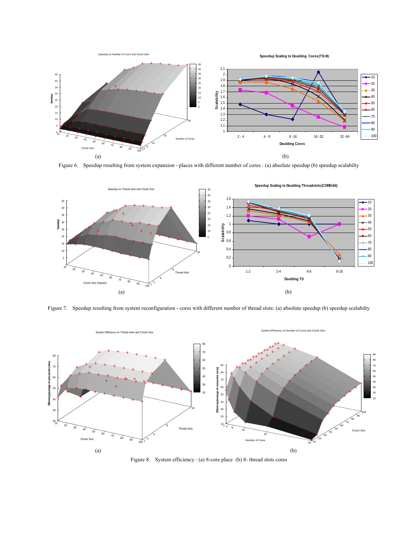

Figure 6. Speedup resulting from system expansion - places with different number of cores : (a) absolute speedup (b) speedup scalabilty



Figure 7. Speedup resulting from system reconfiguration - cores with different number of thread slots: (a) absolute speedup (b) speedup scalabilty



Figure 8. System efficiency : (a) 8-core place (b) 8- thread slots cores